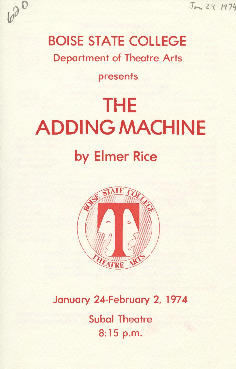Jan 24 1974

# 620

## BOISE STATE COLLEGE

Department of Theatre Arts

### presents

## THE ADDING MACHINE by Elmer Rice



### January 24-February 2, 1974

**Subal Theatre** 8:15 p.m.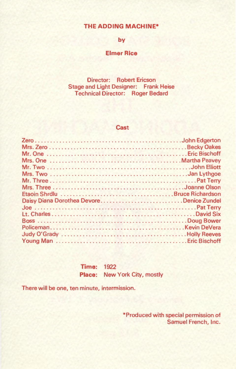#### **THE ADDING MACHINE\***

#### **by**

#### **Elmer Rice**

Director: Robert Ericson Stage and Light Designer: Frank Heise Technical Director: Roger Bedard

#### **Cast**

| Daisy Diana Dorothea DevoreDenice Zundel |  |
|------------------------------------------|--|
|                                          |  |
|                                          |  |
|                                          |  |
|                                          |  |
|                                          |  |
|                                          |  |

**Time:** 1922 **Place:** New York City, mostly

There will be one, ten minute, intermission.

\*Produced with special permission of Samuel French, Inc.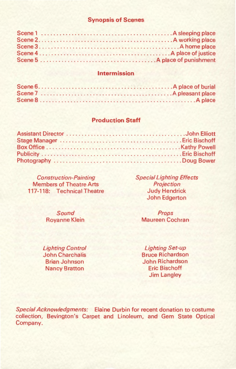#### **Synopsis of Scenes**

#### **Intermission**

#### **Production Staff**

Construction-Painting Members of Theatre Arts 117-118: Technical Theatre

> Sound Royanne Klein

Lighting Control John Charchalis Brian Johnson Nancy Bratton

Special Lighting Effects **Projection** Judy Hendrick John Edgerton

> Props Maureen Cochran

> Lighting Set-up Bruce Richardson John Richardson Eric Bischoff Jim Langley

Special Acknowledgments: Elaine Durbin for recent donation to costume collection, Bevington's Carpet and Linoleum, and Gem State Optical Company.